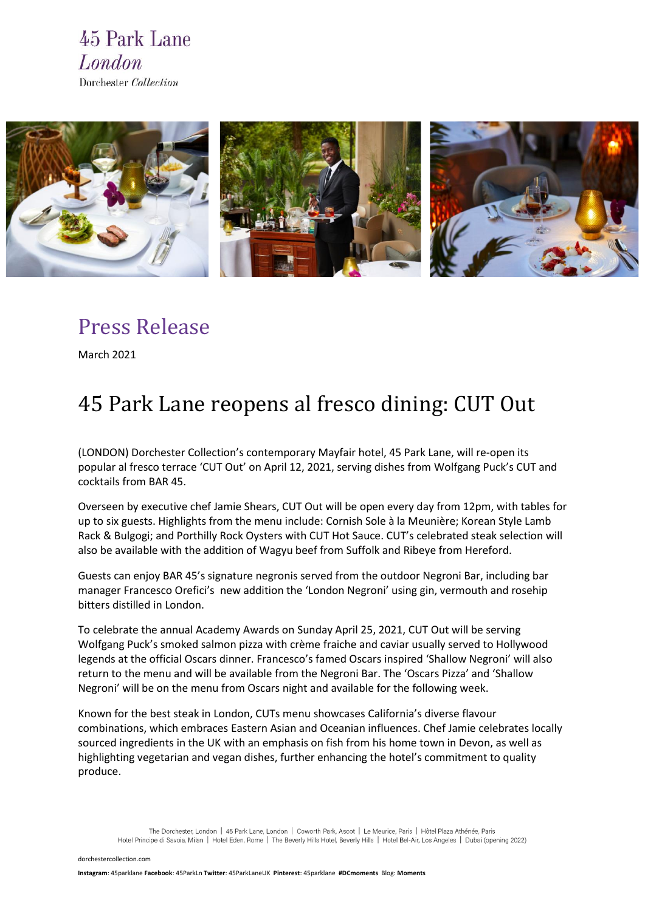



## Press Release

March 2021

# 45 Park Lane reopens al fresco dining: CUT Out

(LONDON) Dorchester Collection's contemporary Mayfair hotel, 45 Park Lane, will re-open its popular al fresco terrace 'CUT Out' on April 12, 2021, serving dishes from Wolfgang Puck's CUT and cocktails from BAR 45.

Overseen by executive chef Jamie Shears, CUT Out will be open every day from 12pm, with tables for up to six guests. Highlights from the menu include: Cornish Sole à la Meunière; Korean Style Lamb Rack & Bulgogi; and Porthilly Rock Oysters with CUT Hot Sauce. CUT's celebrated steak selection will also be available with the addition of Wagyu beef from Suffolk and Ribeye from Hereford.

Guests can enjoy BAR 45's signature negronis served from the outdoor Negroni Bar, including bar manager Francesco Orefici's new addition the 'London Negroni' using gin, vermouth and rosehip bitters distilled in London.

To celebrate the annual Academy Awards on Sunday April 25, 2021, CUT Out will be serving Wolfgang Puck's smoked salmon pizza with crème fraiche and caviar usually served to Hollywood legends at the official Oscars dinner. Francesco's famed Oscars inspired 'Shallow Negroni' will also return to the menu and will be available from the Negroni Bar. The 'Oscars Pizza' and 'Shallow Negroni' will be on the menu from Oscars night and available for the following week.

Known for the best steak in London, CUTs menu showcases California's diverse flavour combinations, which embraces Eastern Asian and Oceanian influences. Chef Jamie celebrates locally sourced ingredients in the UK with an emphasis on fish from his home town in Devon, as well as highlighting vegetarian and vegan dishes, further enhancing the hotel's commitment to quality produce.

The Dorchester, London | 45 Park Lane, London | Coworth Park, Ascot | Le Meurice, Paris | Hôtel Plaza Athénée, Paris Hotel Principe di Savoia, Milan | Hotel Eden, Rome | The Beverly Hills Hotel, Beverly Hills | Hotel Bel-Air, Los Angeles | Dubai (opening 2022)

[dorchestercollection.com](https://www.instagram.com/45parklane/)